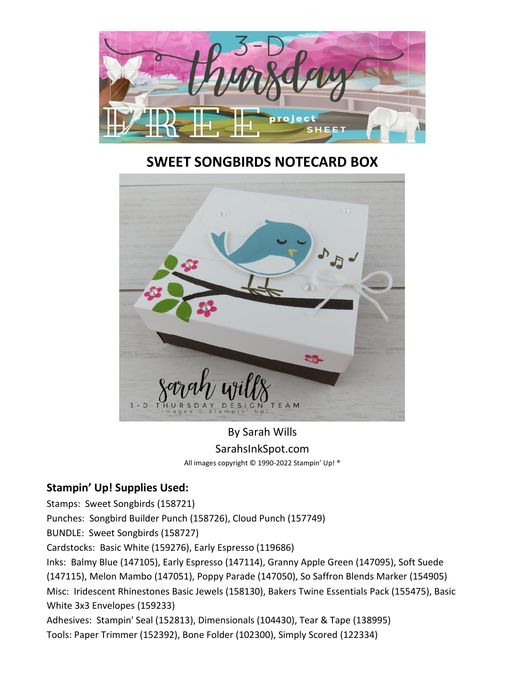

## **SWEET SONGBIRDS NOTECARD BOX**



By Sarah Wills SarahsInkSpot.com All images copyright © 1990-2022 Stampin' Up! ®

## **Stampin' Up! Supplies Used:**

Stamps: Sweet Songbirds (158721) Punches: Songbird Builder Punch (158726), Cloud Punch (157749) BUNDLE: Sweet Songbirds (158727) Cardstocks: Basic White (159276), Early Espresso (119686) Inks: Balmy Blue (147105), Early Espresso (147114), Granny Apple Green (147095), Soft Suede (147115), Melon Mambo (147051), Poppy Parade (147050), So Saffron Blends Marker (154905) Misc: Iridescent Rhinestones Basic Jewels (158130), Bakers Twine Essentials Pack (155475), Basic White 3x3 Envelopes (159233) Adhesives: Stampin' Seal (152813), Dimensionals (104430), Tear & Tape (138995) Tools: Paper Trimmer (152392), Bone Folder (102300), Simply Scored (122334)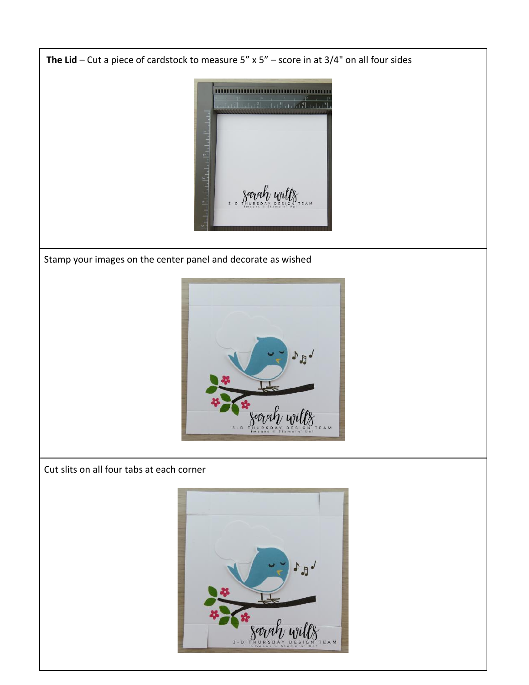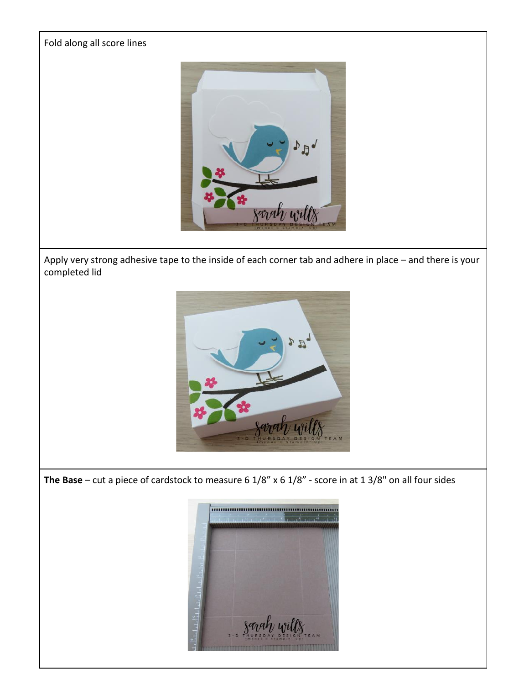

Apply very strong adhesive tape to the inside of each corner tab and adhere in place – and there is your completed lid



**The Base** – cut a piece of cardstock to measure 6 1/8" x 6 1/8" - score in at 1 3/8" on all four sides

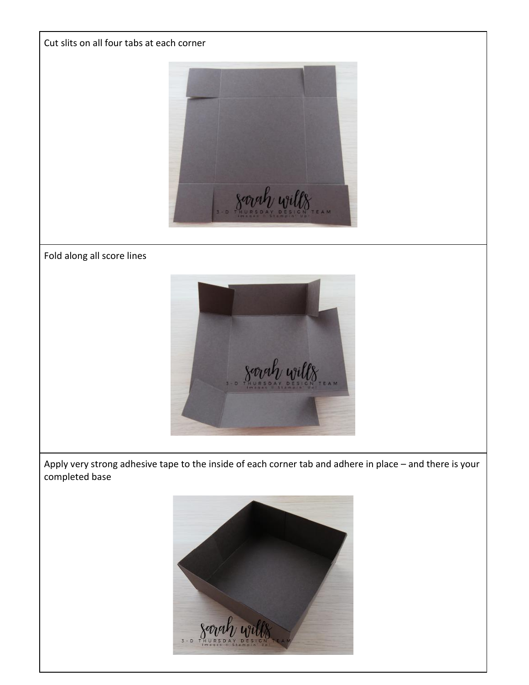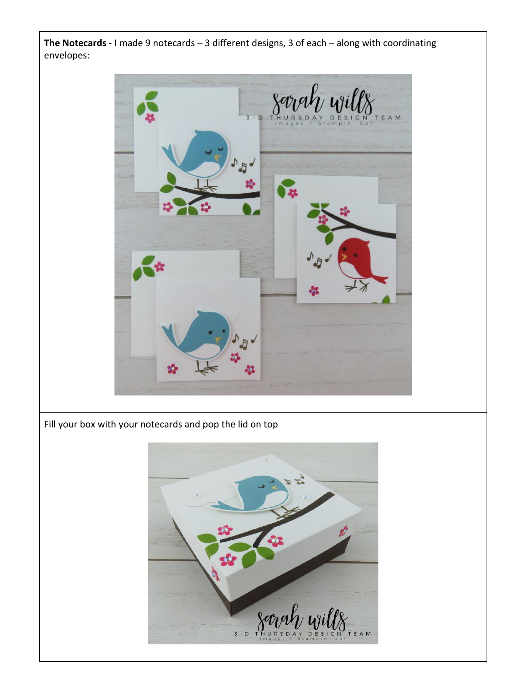